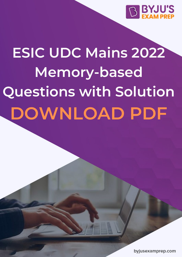

# **ESIC UDC Mains 2022 Memory-based Questions with Solution DOWNLOAD PDF**

byjusexamprep.com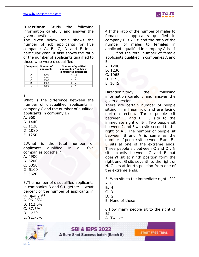

**Directions:** Study the following information carefully and answer the given question.

The given below table shows the number of job applicants for five companies-A, B, C, D and E in a particular year. It also shows the ratio of the number of applicants qualified to those who were disqualified.

| Company | Number of<br>applicants | <b>Number of qualified</b><br>applicants: Number of<br>disqualified applicants |
|---------|-------------------------|--------------------------------------------------------------------------------|
|         | 4000                    | 5:11                                                                           |
|         | 2000                    | 1:4                                                                            |
|         | 3600                    | 3:5                                                                            |
|         | 4500                    | 2:7                                                                            |
|         | 2800                    | っ. ィ                                                                           |

#### 1.

What is the difference between the number of disqualified applicants in company C and the number of qualified applicants in company D?

A. 960

- B. 1440
- C. 1120
- D. 1080
- E. 1250

2.What is the total number of applicants qualified in all five companies together?

- A. 4900
- B. 5200
- C. 5350
- D. 5100
- E. 5620

3.The number of disqualified applicants in companies B and C together is what percent of the number of applicants in company A?

- A. 96.25%
- B. 112.5%
- C. 87.5%
- D. 125%
- E. 92.75%



4.If the ratio of the number of males to females in applicants qualified in company E is 7 : 8 and the ratio of the number of males to females in applicants qualified in company A is 14 : 11, find the total number of female applicants qualified in companies A and E.

- A. 1208
- B. 1230
- C. 1065
- D. 1190
- E. 1045

Direction:Study the following information carefully and answer the given questions.

There are certain number of people sitting in a linear row and are facing north direction. Three people sit between C and B . J sits to the immediate right of B . Two people sit between J and F who sits second to the right of A . The number of people sit between B and A is same as the number of people sit between F and E . E sits at one of the extreme ends. Three people sit between C and D . N sits exactly between C and B but doesn't sit at ninth position form the right end. G sits seventh to the right of N. G sits at fourth position from one of the extreme ends.

5. Who sits to the immediate right of J?

- A. C
- B. N
- C. D
- D. G
- E. None of these

6.How many people sit to the right of B?

A. Twelve

**SBI & IBPS 2022** A Sure Shot Success batch (Batch 6)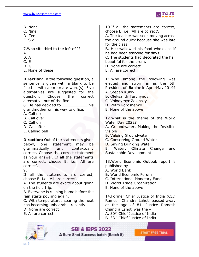

- B. None
- C. Nine
- D. Ten
- E. Six

7.Who sits third to the left of J?

- A. F
- B. A
- C. E
- D. G
- E. None of these

**Direction:** In the following question, a sentence is given with a blank to be filled in with appropriate word(s). Five alternatives are suggested for the question. Choose the correct alternative out of the five.

8. He has decided to bis grandmother on his way to office.

- A. Call up
- B. Call over
- C. Call on
- D. Call after
- E. Calling bell

**Direction:** Out of the statements given below, one statement may be grammatically and contextually correct. Choose the correct statement as your answer. If all the statements are correct, choose E, i.e. 'All are correct'.

9.

If all the statements are correct, choose E, i.e. 'All are correct'.

A. The students are excite about going on the field trip.

B. Everyone is rushing home before the rain starts pouring again.

C. With temperatures soaring the heat has becoming unbearable recently.

D. None are correct

E. All are correct

10.If all the statements are correct, choose E, i.e. 'All are correct'.

A. The teacher was seen moving across the ground quick because she was late for the class.

B. He swallowed his food whole, as if he had been starving for days!

C. The students had decorated the hall beautiful for the prom.

D. None are correct

E. All are correct

11.Who among the following was elected and sworn in as the 6th President of Ukraine in April-May 2019?

- A. Stepan Kubiv
- B. Oleksandr Turchynov
- C. Volodymyr Zelensky
- D. Petro Poroshenko
- E. None of the above

12.What is the theme of the World Water Day 2022?

A. Groundwater, Making the Invisible Visible

B. Valuing Groundwater

C. Conserving Ground Water

D. Saving Drinking Water

E. Water, Climate Change and Sustainable Development

13.World Economic Outlook report is published by

A. World Bank

B. World Economic Forum

- C. International Monetary Fund
- D. World Trade Organization
- E. None of the above

14.Former Chief Justice of India (CJI) Ramesh Chandra Lahoti passed away at the age of 81, Justice Ramesh Chandra Lahoti was the –

- A. 30<sup>th</sup> Chief Justice of India
- B. 33rd Chief Justice of India



**SBI & IBPS 2022**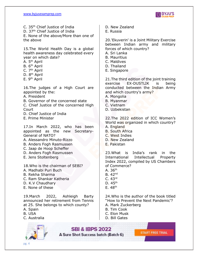

C. 35th Chief Justice of India D. 37<sup>th</sup> Chief Justice of India E. None of the above/More than one of the above

15.The World Health Day is a global health awareness day celebrated every year on which date?

A. 5<sup>th</sup> April

- B. 6<sup>th</sup> April
- C. 7<sup>th</sup> April
- D. 8<sup>th</sup> April
- E. 9<sup>th</sup> April

16.The judges of a High Court are appointed by the:

- A. President
- B. Governor of the concerned state

C. Chief Justice of the concerned High Court

- D. Chief Justice of India
- E. Prime Minister

17.In March 2022, who has been appointed as the new Secretary-General of NATO?

- A. Alessandro Minuto-Rizzo
- B. Anders Fogh Rasmussen
- C. Jaap de Hoop Scheffer
- D. Anders Fogh Rasmussen
- E. Jens Stoltenberg
- 18.Who is the chairman of SEBI?
- A. Madhabi Puri Buch
- B. Rekha Sharma
- C. Ram Shankar Katheria
- D. K.V Chaudhary
- E. None of these

19.March 2022, Ashleigh Barty announced her retirement from Tennis at 25. She belongs to which county?

- A. Spain
- B. USA
- C. Australia



D. New Zealand

E. Russia

20.'Ekuverin' is a Joint Military Exercise between Indian army and military forces of which country?

- A. Sri Lanka
- B. Mauritius
- C. Maldives
- D. Thailand
- E. Singapore

21.The third edition of the joint training exercise EX-DUSTLIK is being conducted between the Indian Army and which country's army?

- A. Mongolia
- B. Myanmar
- C. Vietnam
- D. Uzbekistan

22.The 2022 edition of ICC Women's World was organized in which country? A. England

- B. South Africa
- C. West Indies
- D. New Zealand
- E. Pakistan

23.What is India's rank in the International Intellectual Property Index 2022, compiled by US Chambers of Commerce?

- A.  $36<sup>th</sup>$
- B.  $42<sup>nd</sup>$
- C. 43rd
- D. 45th
- $E.48<sup>th</sup>$

24.Who is the author of the book titled ''How to Prevent the Next Pandemic'?

- A. Mark Zuckerberg
- B. Tim Cook
- C. Elon Musk
- D. Bill Gates

**SBI & IBPS 2022** A Sure Shot Success batch (Batch 6)

**START FREE TRIAL**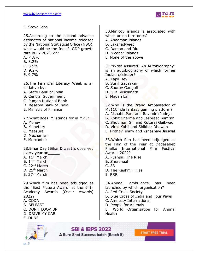

E. Steve Jobs

25.According to the second advance estimates of national income released by the National Statistical Office (NSO), what would be the India's GDP growth rate in FY 2021-22?

- A. 7 .8%
- B. 8.2%
- C. 8.9%
- D. 9.2%
- E. 9.7%

26.The Financial Literacy Week is an initiative by:

- A. State Bank of India
- B. Central Government
- C. Punjab National Bank
- D. Reserve Bank of India
- E. Ministry of Finance

27.What does 'M' stands for in MPC?

- A. Money
- B. Monetary
- C. Measure
- D. Mechanism
- E. Mercantile

28.Bihar Day (Bihar Diwas) is observed every year on

- A. 11<sup>th</sup> March
- B. 14<sup>th</sup> March
- C. 22<sup>nd</sup> March
- D. 25<sup>th</sup> March
- E.  $27<sup>th</sup>$  March

29.Which film has been adjudged as the 'Best Picture Award' at the 94th Academy Awards (Oscar Awards) 2022? A. CODA

- B. BELFAST
- C. DON'T LOOK UP
- D. DRIVE MY CAR
- E. DUNE



30.Minicoy islands is associated with which union territories?

A. Andaman Islands

- B. Lakshadweep
- C. Daman and Diu
- D. Nicobar Islands
- E. None of the above

31."Wrist Assured: An Autobiography" is an autobiography of which former Indian cricketer?

- A. Kapil Dev
- B. Sunil Gavaskar
- C. Saurav Ganguli
- D. G.R. Viswanath
- E. Madan Lal

32.Who is the Brand Ambassador of My11Circle fantasy gaming platform? A. Rishabh Pant and Ravindra Jadeja

- B. Rohit Sharma and Jaspreet Bumrah
- C. Shubman Gill and Ruturaj Gaikwad
- D. Virat Kohli and Shikhar Dhawan
- E. Prithavi shaw and Yshashavi Jaiswal

33.Which film has been adjudged as the Film of the Year at Dadasaheb Phalke International Film Festival Awards 2022?

- A. Pushpa: The Rise
- B. Shershaah
- C. 83
- D. The Kashmir Files
- E. RRR

34.Animal ambulance has been launched by which organisation?

- A. Red Cross Society
- B. Blue Cross of India and Four Paws
- C. Amnesty International
- D. People for Animals

E. World Organisation for Animal Health

**SBI & IBPS 2022** A Sure Shot Success batch (Batch 6)

**START FREE TRIAL**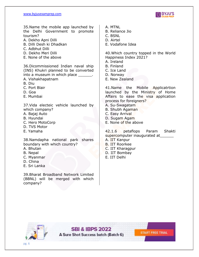

35.Name the mobile app launched by the Delhi Government to promote tourism?

- A. Dekho Apni Dilli
- B. Dilli Desh ki Dhadkan
- C. Adbhut Dilli
- D. Dekho Meri Dilli
- E. None of the above

36.Dicommissioned Indian naval ship (INS) Khukri planned to be converted into a museum in which place \_\_\_\_\_\_.

A. Vishakhapatnam

B. Diu

- C. Port Blair
- D. Goa
- E. Mumbai

37.Vida electeic vehicle launched by which company?

- A. Bajaj Auto
- B. Hyundai
- C. Hero MotoCorp
- D. TVS Motor
- E. Yamaha

38.Namdapha national park shares boundary with which country?

- A. Bhutan
- B. Nepal
- C. Myanmar
- D. China
- E. Sri Lanka

39.Bharat Broadband Network Limited (BBNL) will be merged with which company?

- A. MTNL
- B. Reliance Jio
- C. BSNL
- D. Airtel
- E. Vodafone Idea

40.Which country topped in the World Happiness Index 2021?

- A. Ireland
- B. Finland
- C. Ice Land
- D. Norway
- E. New Zealand

41.Name the Mobile Applicatrtion launched by the Ministry of Home Affairs to ease the visa application process for foreigners? A. Su-Swagatam

- B. Shubh Agaman
- C. Easy Arrival
- D. Sugam Agam
- E. None of the above

42.1.6 petaflops Param Shakti supercomputer inaugurated at

- A. IIT Kanpur
- B. IIT Roorkee
- C. IIT Kharagpur
- D. IIT Bombay
- E. IIT Delhi



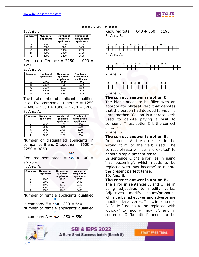

 $#$ ##ANSWERS###

#### 1. Ans. E.

| Company | Number of<br>applicants | Number of<br>qualified<br>applicants | Number of<br>disqualified<br>applicants |
|---------|-------------------------|--------------------------------------|-----------------------------------------|
| А       | 4000                    | 1250                                 | 2750                                    |
| в       | 2000                    | 400                                  | 1600                                    |
| C       | 3600                    | 1350                                 | 2250                                    |
|         | 4500                    | 1000                                 | 3500                                    |
|         | 2800                    | 1200                                 | 1600                                    |

Required difference =  $2250 - 1000 =$ 1250

#### 2. Ans. B.

| Company | Number of<br>applicants | Number of<br>qualified<br>applicants | Number of<br>disqualified<br>applicants |
|---------|-------------------------|--------------------------------------|-----------------------------------------|
| А       | 4000                    | 1250                                 | 2750                                    |
| в       | 2000                    | 400                                  | 1600                                    |
| C       | 3600                    | 1350                                 | 2250                                    |
| D       | 4500                    | 1000                                 | 3500                                    |
|         | 2800                    | 1200                                 | 1600                                    |

The total number of applicants qualified in all five companies together  $= 1250$  $+ 400 + 1350 + 1000 + 1200 = 5200$ 3. Ans. A.

| Company | Number of<br>applicants | Number of<br>qualified<br>applicants | Number of<br>disqualified<br>applicants |
|---------|-------------------------|--------------------------------------|-----------------------------------------|
|         | 4000                    | 1250                                 | 2750                                    |
| B       | 2000                    | 400                                  | 1600                                    |
|         | 3600                    | 1350                                 | 2250                                    |
|         | 4500                    | 1000                                 | 3500                                    |
|         | 2800                    | 1200                                 | 1600                                    |

Number of disqualified applicants in companies B and C together =  $1600 +$  $2250 = 3850$ 

3850

Required percentage =  $4000 \times 100$  = 96.25%

#### 4. Ans. D.

| Company | Number of<br>applicants | Number of<br>qualified<br>applicants | Number of<br>disqualified<br>applicants |
|---------|-------------------------|--------------------------------------|-----------------------------------------|
| А       | 4000                    | 1250                                 | 2750                                    |
| В       | 2000                    | 400                                  | 1600                                    |
| С       | 3600                    | 1350                                 | 2250                                    |
| D       | 4500                    | 1000                                 | 3500                                    |
|         | 2800                    | 1200                                 | 1600                                    |

Number of female applicants qualified in company  $E = 15 \times 1200 = 640$ 

Number of female applicants qualified 11

in company  $A = 25 \times 1250 = 550$ 



Required total =  $640 + 550 = 1190$ 5. Ans. B.





7. Ans. A.



8. Ans. C.

#### **The correct answer is option C.**

The blank needs to be filled with an appropriate phrasal verb that denotes that the person had decided to visit his grandmother. 'Call on' is a phrasal verb used to denote paying a visit to someone. Thus, option C is the correct answer.

9. Ans. B.

#### **The correct answer is option B.**

In sentence A, the error lies in the wrong form of the verb used. The correct phrase will be 'are excited' to denote simple present tense.

In sentence C the error lies in using 'has becoming', which needs to be replaced with 'has become' to denote the present perfect tense.

#### 10. Ans. B.

#### **The correct answer is option B.**

The error in sentences A and C lies in using adjectives to modify verbs. Adjectives modify nouns/pronouns while verbs, adjectives and adverbs are modified by adverbs. Thus, in sentence A, 'quick' needs to be replaced with 'quickly' to modify 'moving'; and in sentence C 'beautiful' needs to be

**START FREE TRIAL** 

**SBI & IBPS 2022** A Sure Shot Success batch (Batch 6)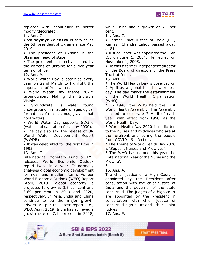

replaced with 'beautifully' to better modify 'decorated'.

11. Ans. C.

• **Volodymyr Zelensky** is serving as the 6th president of Ukraine since May 2019.

• The president of Ukraine is the Ukrainian head of state.

• The president is directly elected by the citizens of Ukraine for a five-year term of office.

12. Ans. A.

• World Water Day is observed every year on 22nd March to highlight the importance of freshwater.

• World Water Day theme 2022: Groundwater, Making the Invisible Visible.

• Groundwater is water found underground in aquifers (geological formations of rocks, sands, gravels that hold water).

• World Water Day supports SDG 6 (water and sanitation for all by 2030).

• The day also saw the release of UN World Water Development Report (WWDR)

• It was celebrated for the first time in 1993.

13. Ans. C.

International Monetary Fund or IMF releases World Economic Outlook report twice in a year. It normally analyses global economic development for near and medium term. As per World Economic Outlook (WEO) Report (April, 2019), global economy is projected to grow at 3.3 per cent and 3.69 per cent in 2019 and 2020, respectively. In Asia, India and China continue to be the major growth drivers. As per the latest report, i.e., WEO, April, 2019, India has achieved a growth rate of 7.1 per cent in 2018, while China had a growth of 6.6 per cent.

14. Ans. C.

• Former Chief Justice of India (CJI) Ramesh Chandra Lahoti passed away at 81.

• Justice Lahoti was appointed the 35th CJI on June 1, 2004. He retired on November 1, 2005.

• He was a former independent director on the Board of directors of the Press Trust of India.

15. Ans. C.

\* The World Health Day is observed on 7 April as a global health awareness day. The day marks the establishment of the World Health Organization (WHO).

\* In 1948, the WHO held the First World Health Assembly. The Assembly decided to celebrate 7 April of each year, with effect from 1950, as the World Health Day.

\* World Health Day 2020 is dedicated to the nurses and midwives who are at the forefront and curing the people from COVID-19 infection.

\* The Theme of World Health Day 2020 is 'Support Nurses and Midwives'.

\* The WHO has named this year the 'International Year of the Nurse and the Midwife'. \*

16. Ans. A.

The chief justice of a High Court is appointed by the President after consultation with the chief justice of India and the governor of the state concerned. The judges of a high court are appointed by the President in consultation with chief justice of concerned high court and other senior judges.

17. Ans. E.

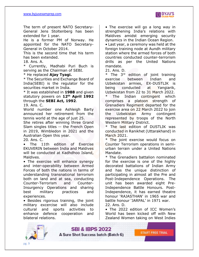

The term of present NATO Secretary-General Jens Stoltenberg has been extended for 1 year.

He is a former PM of Norway. He appointed for the NATO Secretary-General in October 2014.

This is the second time that his term has been extended.

18. Ans. A.

\* Currently, Madhabi Puri Buch is serving as the Chairman of SEBI.

\* He replaced **Ajay Tyagi.**

\* The Securities and Exchange Board of India(SEBI) is the regulator for the securities market in India.

\* It was established in **1988** and given statutory powers on **12th April 1992** through the **SEBI Act, 1992**.

19. Ans. C.

World number one Ashleigh Barty announced her retirement from the tennis world at the age of just 25.

She retires after winning three Grand Slam singles titles -- the French Open in 2019, Wimbledon in 2021 and the Australian Open this year.

20. Ans. C.

• The 11th edition of Exercise EKUVERIN between India and Maldives will be conducted at Kadhdhoo Island, Maldives.

• The exercise will enhance synergy and inter-operability between Armed Forces of both the nations in terms of understanding transnational terrorism both on land and at sea, conducting Counter-Terrorism and Counter-Insurgency Operations and sharing best military practices and experiences.

• Besides rigorous training, the joint military excercise will also include cultural and sports activities to enhance defence cooperation and bilateral relations.

• The exercise will go a long way in strengthening India's relations with Maldives amidst emerging security dynamics in the Indian Ocean Region.

• Last year, a ceremony was held at the foreign training node at Aundh military station where the armed forces of both countries conducted counter-terrorism drills as per the United Nations mandate.

21. Ans. D.

\* The 3 rd edition of joint training exercise between Indian and Uzbekistan armies, EX-DUSTLIK is being conducted at Yangiarik, Uzbekistan from 22 to 31 March 2022.

The Indian contingent which comprises a platoon strength of Grenadiers Regiment departed for the exercise area on 22 March 2022 to join the Uzbekistan Army contingent represented by troops of the North Western Military District.

\* The last edition of DUSTLIK was conducted in Ranikhet (Uttarakhand) in March 2021.

\* The joint exercise would focus on Counter Terrorism operations in semiurban terrain under a United Nations Mandate.

\* The Grenadiers battalion nominated for the exercise is one of the highly decorated battalions of Indian Army and has the unique distinction of participating in almost all the Pre and Post-Independence Operations. The unit has been awarded eight Pre-Independence Battle Honours. Post-Independence, it has earned theatre honour 'RAJASTHAN' in 1965 war and battle honour 'JARPAL' in 1971 war. 22. Ans. D.

• The 2022 edition of ICC Women's World has been kicked off with New Zealand Women taking on West Indies



**SBI & IBPS 2022**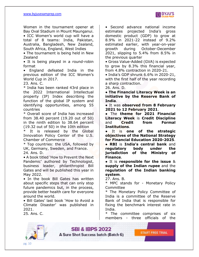

Women in the tournament opener at Bay Oval Stadium in Mount Maunganui.

• ICC Women's world cup will have a total of 8 teams: India, Pakistan, Australia, Bangladesh, New Zealand, South Africa, England, West Indies

• The tournament is being held in New Zealand

• It is being played in a round-robin format

• England defeated India in the previous edition of the ICC Women's World Cup in 2017.

23. Ans. C.

\* India has been ranked 43rd place in the 2022 International Intellectual property (IP) Index describing the function of the global IP system and identifying opportunities, among 55 countries

\* Overall score of India has increased from 38.40 percent (19.20 out of 50) in the ninth edition to 38.64 percent (19.32 out of 50) in the 10th edition

It is released by the Global Innovation Policy Center of the U.S. Chamber of Commerce

\* Top countries: the USA, followed by UK, Germany, Sweden, and France. 24. Ans. D.

• A book titled 'How to Prevent the Next Pandemic' authored by Technologist, business leader, philanthropist Bill Gates and will be published this year in May 2022.

• In the book Bill Gates has written about specific steps that can only stop future pandemics but, in the process, provide better health care for everyone around the world.

• Bill Gates' last book 'How to Avoid a Climate Disaster' was published in 2021.

25. Ans. C.

• Second advance national income estimates projected India's gross domestic product (GDP) to grow at 8.9% in 2021-22 instead of 9.2% estimated earlier, with year-on-year growth during October-December 2021, slipping to 5.4% from 8.5% in the previous quarter

• Gross Value-Added (GVA) is expected to grow by 8.3% this financial year, from 4.8% contraction in 2020-21.

• India's GDP shrunk 6.6% in 2020-21, with the first half of the year recording a sharp contraction.

26. Ans. D.

● **The Financial Literacy Week is an initiative by the Reserve Bank of India**.

● It was **observed from 8 February 2021 to 12 February 2021**.

● The **theme for 2021 Financial Literacy Week** is **Credit Discipline** and **Credit from Formal Institutions**.

● It is **one of the strategic objectives of the National Strategy for Financial Education 2020-2025**.

● **RBI** is **India's central bank** and **regulatory body under the jurisdiction of the Ministry of Finance**.

● It is **responsible for the issue** & **supply of the Indian rupee** and the **regulation of the Indian banking system**.

27. Ans. B.

\* MPC stands for - Monetary Policy Committee

\* The Monetary Policy Committee of India is a committee of the Reserve Bank of India that is responsible for fixing the benchmark interest rate in India.

The committee comprises of six members - three officials of the

**START FREE TRIAL** 



**SBI & IBPS 2022**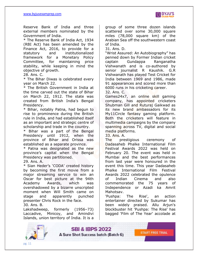

Reserve Bank of India and three external members nominated by the Government of India.

\* The Reserve Bank of India Act, 1934 (RBI Act) has been amended by the Finance Act, 2016, to provide for a statutory and institutionalized framework for a Monetary Policy Committee, for maintaining price stability, while keeping in mind the objective of growth.

#### 28. Ans. C.

\* The Bihar Diwas is celebrated every year on March 22.

\* The British Government in India at the time carved out the state of Bihar on March 22, 1912. The state was created from British India's Bengal Presidency.

\* Bihar, notably Patna, had begun to rise to prominence during the British rule in India, and had established itself as an important and strategic centre of scholarship and trade in the country.

\* Bihar was a part of the Bengal Presidency until 1912, when the province of Bihar and Orissa was established as a separate province.

\* Patna was designated as the new province's capital when the Bengal Presidency was partitioned.

#### 29. Ans. A.

\* Sian Heder's 'CODA' created history by becoming the first movie from a major streaming service to win an Oscar for best picture at the 94th Academy Awards, which was overshadowed by a bizarre unscripted moment when Will Smith came on stage and apparently punched presenter Chris Rock in the face. 30. Ans. B.

Lakshadweep, formerly (1956–73) Laccadive, Minicoy, and Amindivi Islands, union territory of India. It is a

group of some three dozen islands scattered over some 30,000 square miles (78,000 square km) of the Arabian Sea off the southwestern coast of India.

31. Ans. D.

"Wrist Assured: An Autobiography" has penned down by Former Indian cricket captain Gundappa Ranganatha Vishwanath and is co-authored by senior journalist R Kaushik. G.R Vishwanath has played Test Cricket for India between 1969 and 1986, made 91 appearances and scored more than 6000 runs in his cricketing career.

32. Ans. C.

Games24x7, an online skill gaming company, has appointed cricketers Shubman Gill and Ruturaj Gaikwad as its new brand ambassadors for its My11Circle fantasy gaming platform. Both the cricketers will feature in multimedia campaigns by the company spanning across TV, digital and social media platforms.

33. Ans. A.

The prestigious ceremony of Dadasaheb Phalke International Film Festival Awards 2022 was held on February 20. The event was held in Mumbai and the best performances from last year were honoured in the event this time. This year Dadasaheb Phalke International Film Festival Awards 2022 celebrated the opulence of Indian Cinema and also commemorated the 75 years of Independence or Azadi ka Amrit Mahotsav.

'Pushpa: The Rise', an action entertainer directed by Sukumar has been widely praised. Allu Arjun's blockbuster hit 'Pushpa: The Rise' has bagged 'Film of The Year' accolade at

**START FREE TRIAL** 



**SBI & IBPS 2022** 

A Sure Shot Success batch (Batch 6)

pg. 11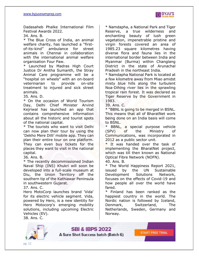

Dadasaheb Phalke International Film Festival Awards 2022.

34. Ans. B.

\* The Blue Cross of India, an animal welfare charity, has launched a "firstof-its-kind" ambulance for street animals in Chennai in collaboration with the international animal welfare organisation Four Paw.

\* Launched by Madras High Court Justice Dr Anitha Sumanth, the Stray Animal Care programme will be a "hospital on wheels" with an on-board veterinarian to provide on-site treatment to injured and sick street animals.

35. Ans. D.

\* On the occasion of World Tourism Day, Delhi Chief Minister Arvind Kejriwal has launched an app that contains comprehensive information about all the historic and tourist spots of the national capital.

\* The tourists who want to visit Delhi can now plan their tour by using the 'Dekho Mere Dilli' mobile app. They can plan their entire tour on one platform. They can even buy tickets for the places they want to visit in the national capital.

36. Ans. B.

\* The recently decommissioned Indian Naval Ship (INS) Khukri will soon be developed into a full-scale museum at Diu, the Union Territory off the southern tip of the Kathiawar Peninsula in southwestern Gujarat.

37. Ans. C.

Hero MotoCorp launches brand 'Vida' for its electric vehicle segment. Vida, powered by Hero, is a new identity for Hero Motocorp's emerging mobility solutions, including upcoming Electric Vehicles (EV).

38. Ans. C.

\* Namdapha, a National Park and Tiger Reserve, a true wilderness and enchanting beauty of lush green vegetation, impenetrable pristine and virgin forests covered an area of 1985.23 square kilometres having diverse flora and fauna lies in the international border between India and Myanmar (Burma) within Changlang District in the state of Arunachal Pradesh in the northeast India.

\* Namdapha National Park is located at a few kilometre away from Miao amidst misty blue hills along the turbulent Noa-Dihing river lies in the sprawling tropical rain forest. It was declared as Tiger Reserve by the Government in 1983.

39. Ans. C.

\* "BBNL is going to be merged in BSNL. This means that all of BharatNet work being done on an India basis will come to BSNL.

\* BBNL, a special purpose vehicle (SPV) of the Ministry of Communications, was incorporated in 2012 as a public sector unit.

\* It was handed over the task of implementing the BharatNet project, which was till then known as National Optical Fibre Network (NOFN).

40. Ans. B.

\* The World Happiness Report 2021, issued by the UN Sustainable Development Solutions Network, focuses on the effects of Covid-19 and how people all over the world have fared.

\* Finland has been ranked as the happiest country in the world. The Nordic nation is followed by Iceland, Denmark, Switzerland, The Netherlands, Sweden, Germany and Norway.



**SBI & IBPS 2022**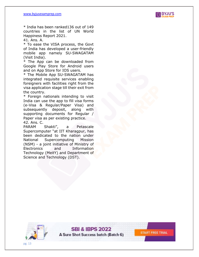

**START FREE TRIAL** 

\* India has been ranked136 out of 149 countries in the list of UN World Happiness Report 2021.

41. Ans. A.

\* To ease the VISA process, the Govt of India has developed a user-friendly mobile app namely SU-SWAGATAM (Visit India).

\* The App can be downloaded from Google Play Store for Android users and on App Store for IOS users.

\* The Mobile App SU-SWAGATAM has integrated requisite services enabling foreigners with facilities right from the visa application stage till their exit from the country.

\* Foreign nationals intending to visit India can use the app to fill visa forms (e-Visa & Regular/Paper Visa) and subsequently deposit, along with supporting documents for Regular / Paper visa as per existing practice. 42. Ans. C.

PARAM Shakti", a Petascale Supercomputer "at IIT Kharagpur, has been dedicated to the nation under National Supercomputing Mission (NSM) - a joint initiative of Ministry of Electronics and Information Technology (MeitY) and Department of Science and Technology (DST).



**SBI & IBPS 2022** A Sure Shot Success batch (Batch 6)